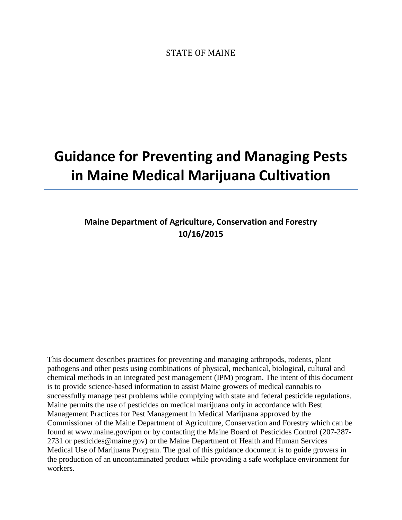STATE OF MAINE

# **Guidance for Preventing and Managing Pests in Maine Medical Marijuana Cultivation**

# **Maine Department of Agriculture, Conservation and Forestry 10/16/2015**

This document describes practices for preventing and managing arthropods, rodents, plant pathogens and other pests using combinations of physical, mechanical, biological, cultural and chemical methods in an integrated pest management (IPM) program. The intent of this document is to provide science-based information to assist Maine growers of medical cannabis to successfully manage pest problems while complying with state and federal pesticide regulations. Maine permits the use of pesticides on medical marijuana only in accordance with Best Management Practices for Pest Management in Medical Marijuana approved by the Commissioner of the Maine Department of Agriculture, Conservation and Forestry which can be found at www.maine.gov/ipm or by contacting the Maine Board of Pesticides Control (207-287- 2731 or pesticides@maine.gov) or the Maine Department of Health and Human Services Medical Use of Marijuana Program. The goal of this guidance document is to guide growers in the production of an uncontaminated product while providing a safe workplace environment for workers.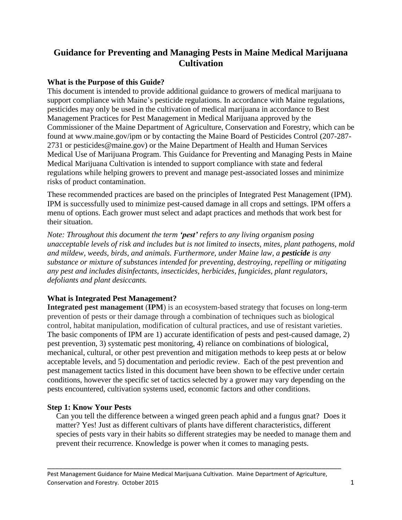## **Guidance for Preventing and Managing Pests in Maine Medical Marijuana Cultivation**

## **What is the Purpose of this Guide?**

This document is intended to provide additional guidance to growers of medical marijuana to support compliance with Maine's pesticide regulations. In accordance with Maine regulations, pesticides may only be used in the cultivation of medical marijuana in accordance to Best Management Practices for Pest Management in Medical Marijuana approved by the Commissioner of the Maine Department of Agriculture, Conservation and Forestry, which can be found at www.maine.gov/ipm or by contacting the Maine Board of Pesticides Control (207-287- 2731 or pesticides@maine.gov) or the Maine Department of Health and Human Services Medical Use of Marijuana Program. This Guidance for Preventing and Managing Pests in Maine Medical Marijuana Cultivation is intended to support compliance with state and federal regulations while helping growers to prevent and manage pest-associated losses and minimize risks of product contamination.

These recommended practices are based on the principles of Integrated Pest Management (IPM). IPM is successfully used to minimize pest-caused damage in all crops and settings. IPM offers a menu of options. Each grower must select and adapt practices and methods that work best for their situation.

*Note: Throughout this document the term 'pest' refers to any living organism posing unacceptable levels of risk and includes but is not limited to insects, mites, plant pathogens, mold and mildew, weeds, birds, and animals. Furthermore, under Maine law, a pesticide is any substance or mixture of substances intended for preventing, destroying, repelling or mitigating any pest and includes disinfectants, insecticides, herbicides, fungicides, plant regulators, defoliants and plant desiccants.*

## **What is Integrated Pest Management?**

**Integrated pest management** (**IPM**) is an ecosystem-based strategy that focuses on long-term prevention of pests or their damage through a combination of techniques such as biological control, habitat manipulation, modification of cultural practices, and use of resistant varieties. The basic components of IPM are 1) accurate identification of pests and pest-caused damage, 2) pest prevention, 3) systematic pest monitoring, 4) reliance on combinations of biological, mechanical, cultural, or other pest prevention and mitigation methods to keep pests at or below acceptable levels, and 5) documentation and periodic review. Each of the pest prevention and pest management tactics listed in this document have been shown to be effective under certain conditions, however the specific set of tactics selected by a grower may vary depending on the pests encountered, cultivation systems used, economic factors and other conditions.

## **Step 1: Know Your Pests**

Can you tell the difference between a winged green peach aphid and a fungus gnat? Does it matter? Yes! Just as different cultivars of plants have different characteristics, different species of pests vary in their habits so different strategies may be needed to manage them and prevent their recurrence. Knowledge is power when it comes to managing pests.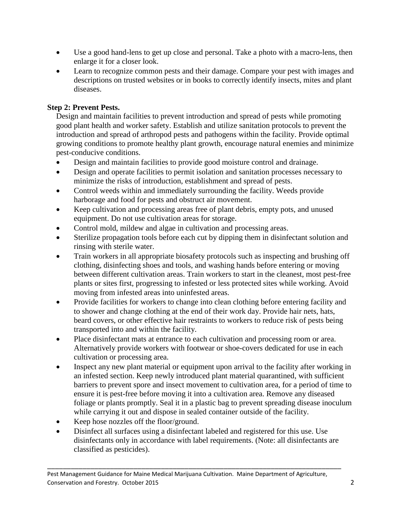- Use a good hand-lens to get up close and personal. Take a photo with a macro-lens, then enlarge it for a closer look.
- Learn to recognize common pests and their damage. Compare your pest with images and descriptions on trusted websites or in books to correctly identify insects, mites and plant diseases.

## **Step 2: Prevent Pests.**

Design and maintain facilities to prevent introduction and spread of pests while promoting good plant health and worker safety. Establish and utilize sanitation protocols to prevent the introduction and spread of arthropod pests and pathogens within the facility. Provide optimal growing conditions to promote healthy plant growth, encourage natural enemies and minimize pest-conducive conditions.

- Design and maintain facilities to provide good moisture control and drainage.
- Design and operate facilities to permit isolation and sanitation processes necessary to minimize the risks of introduction, establishment and spread of pests.
- Control weeds within and immediately surrounding the facility. Weeds provide harborage and food for pests and obstruct air movement.
- Keep cultivation and processing areas free of plant debris, empty pots, and unused equipment. Do not use cultivation areas for storage.
- Control mold, mildew and algae in cultivation and processing areas.
- Sterilize propagation tools before each cut by dipping them in disinfectant solution and rinsing with sterile water.
- Train workers in all appropriate biosafety protocols such as inspecting and brushing off clothing, disinfecting shoes and tools, and washing hands before entering or moving between different cultivation areas. Train workers to start in the cleanest, most pest-free plants or sites first, progressing to infested or less protected sites while working. Avoid moving from infested areas into uninfested areas.
- Provide facilities for workers to change into clean clothing before entering facility and to shower and change clothing at the end of their work day. Provide hair nets, hats, beard covers, or other effective hair restraints to workers to reduce risk of pests being transported into and within the facility.
- Place disinfectant mats at entrance to each cultivation and processing room or area. Alternatively provide workers with footwear or shoe-covers dedicated for use in each cultivation or processing area.
- Inspect any new plant material or equipment upon arrival to the facility after working in an infested section. Keep newly introduced plant material quarantined, with sufficient barriers to prevent spore and insect movement to cultivation area, for a period of time to ensure it is pest-free before moving it into a cultivation area. Remove any diseased foliage or plants promptly. Seal it in a plastic bag to prevent spreading disease inoculum while carrying it out and dispose in sealed container outside of the facility.
- Keep hose nozzles off the floor/ground.
- Disinfect all surfaces using a disinfectant labeled and registered for this use. Use disinfectants only in accordance with label requirements. (Note: all disinfectants are classified as pesticides).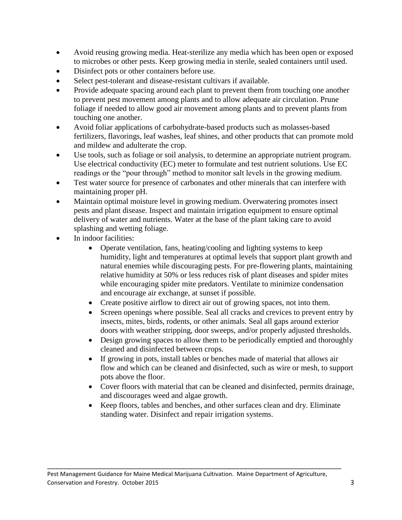- Avoid reusing growing media. Heat-sterilize any media which has been open or exposed to microbes or other pests. Keep growing media in sterile, sealed containers until used.
- Disinfect pots or other containers before use.
- Select pest-tolerant and disease-resistant cultivars if available.
- Provide adequate spacing around each plant to prevent them from touching one another to prevent pest movement among plants and to allow adequate air circulation. Prune foliage if needed to allow good air movement among plants and to prevent plants from touching one another.
- Avoid foliar applications of carbohydrate-based products such as molasses-based fertilizers, flavorings, leaf washes, leaf shines, and other products that can promote mold and mildew and adulterate the crop.
- Use tools, such as foliage or soil analysis, to determine an appropriate nutrient program. Use electrical conductivity (EC) meter to formulate and test nutrient solutions. Use EC readings or the "pour through" method to monitor salt levels in the growing medium.
- Test water source for presence of carbonates and other minerals that can interfere with maintaining proper pH.
- Maintain optimal moisture level in growing medium. Overwatering promotes insect pests and plant disease. Inspect and maintain irrigation equipment to ensure optimal delivery of water and nutrients. Water at the base of the plant taking care to avoid splashing and wetting foliage.
- In indoor facilities:
	- Operate ventilation, fans, heating/cooling and lighting systems to keep humidity, light and temperatures at optimal levels that support plant growth and natural enemies while discouraging pests. For pre-flowering plants, maintaining relative humidity at 50% or less reduces risk of plant diseases and spider mites while encouraging spider mite predators. Ventilate to minimize condensation and encourage air exchange, at sunset if possible.
	- Create positive airflow to direct air out of growing spaces, not into them.
	- Screen openings where possible. Seal all cracks and crevices to prevent entry by insects, mites, birds, rodents, or other animals. Seal all gaps around exterior doors with weather stripping, door sweeps, and/or properly adjusted thresholds.
	- Design growing spaces to allow them to be periodically emptied and thoroughly cleaned and disinfected between crops.
	- If growing in pots, install tables or benches made of material that allows air flow and which can be cleaned and disinfected, such as wire or mesh, to support pots above the floor.
	- Cover floors with material that can be cleaned and disinfected, permits drainage, and discourages weed and algae growth.
	- Keep floors, tables and benches, and other surfaces clean and dry. Eliminate standing water. Disinfect and repair irrigation systems.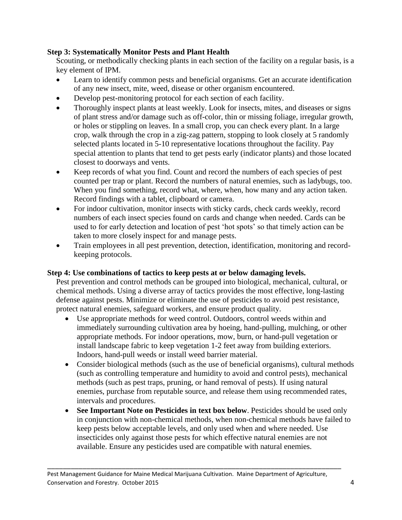## **Step 3: Systematically Monitor Pests and Plant Health**

Scouting, or methodically checking plants in each section of the facility on a regular basis, is a key element of IPM.

- Learn to identify common pests and beneficial organisms. Get an accurate identification of any new insect, mite, weed, disease or other organism encountered.
- Develop pest-monitoring protocol for each section of each facility.
- Thoroughly inspect plants at least weekly. Look for insects, mites, and diseases or signs of plant stress and/or damage such as off-color, thin or missing foliage, irregular growth, or holes or stippling on leaves. In a small crop, you can check every plant. In a large crop, walk through the crop in a zig-zag pattern, stopping to look closely at 5 randomly selected plants located in 5-10 representative locations throughout the facility. Pay special attention to plants that tend to get pests early (indicator plants) and those located closest to doorways and vents.
- Keep records of what you find. Count and record the numbers of each species of pest counted per trap or plant. Record the numbers of natural enemies, such as ladybugs, too. When you find something, record what, where, when, how many and any action taken. Record findings with a tablet, clipboard or camera.
- For indoor cultivation, monitor insects with sticky cards, check cards weekly, record numbers of each insect species found on cards and change when needed. Cards can be used to for early detection and location of pest 'hot spots' so that timely action can be taken to more closely inspect for and manage pests.
- Train employees in all pest prevention, detection, identification, monitoring and recordkeeping protocols.

## **Step 4: Use combinations of tactics to keep pests at or below damaging levels.**

Pest prevention and control methods can be grouped into biological, mechanical, cultural, or chemical methods. Using a diverse array of tactics provides the most effective, long-lasting defense against pests. Minimize or eliminate the use of pesticides to avoid pest resistance, protect natural enemies, safeguard workers, and ensure product quality.

- Use appropriate methods for weed control. Outdoors, control weeds within and immediately surrounding cultivation area by hoeing, hand-pulling, mulching, or other appropriate methods. For indoor operations, mow, burn, or hand-pull vegetation or install landscape fabric to keep vegetation 1-2 feet away from building exteriors. Indoors, hand-pull weeds or install weed barrier material.
- Consider biological methods (such as the use of beneficial organisms), cultural methods (such as controlling temperature and humidity to avoid and control pests), mechanical methods (such as pest traps, pruning, or hand removal of pests). If using natural enemies, purchase from reputable source, and release them using recommended rates, intervals and procedures.
- **See Important Note on Pesticides in text box below**. Pesticides should be used only in conjunction with non-chemical methods, when non-chemical methods have failed to keep pests below acceptable levels, and only used when and where needed. Use insecticides only against those pests for which effective natural enemies are not available. Ensure any pesticides used are compatible with natural enemies.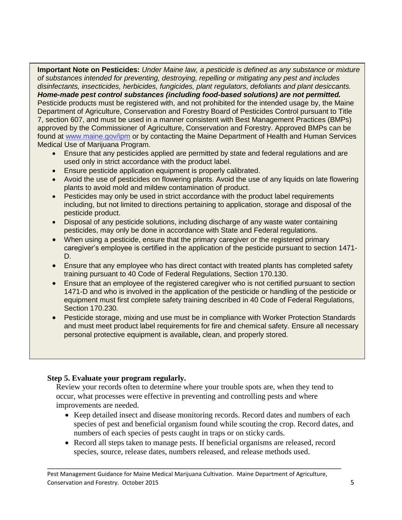**Important Note on Pesticides:** *Under Maine law, a pesticide is defined as any substance or mixture of substances intended for preventing, destroying, repelling or mitigating any pest and includes disinfectants, insecticides, herbicides, fungicides, plant regulators, defoliants and plant desiccants. Home-made pest control substances (including food-based solutions) are not permitted.* Pesticide products must be registered with, and not prohibited for the intended usage by, the Maine Department of Agriculture, Conservation and Forestry Board of Pesticides Control pursuant to Title 7, section 607, and must be used in a manner consistent with Best Management Practices (BMPs) approved by the Commissioner of Agriculture, Conservation and Forestry. Approved BMPs can be found at [www.maine.gov/ipm](http://www.maine.gov/ipm) or by contacting the Maine Department of Health and Human Services Medical Use of Marijuana Program.

- Ensure that any pesticides applied are permitted by state and federal regulations and are used only in strict accordance with the product label.
- **Ensure pesticide application equipment is properly calibrated.**
- Avoid the use of pesticides on flowering plants. Avoid the use of any liquids on late flowering plants to avoid mold and mildew contamination of product.
- Pesticides may only be used in strict accordance with the product label requirements including, but not limited to directions pertaining to application, storage and disposal of the pesticide product.
- Disposal of any pesticide solutions, including discharge of any waste water containing pesticides, may only be done in accordance with State and Federal regulations.
- When using a pesticide, ensure that the primary caregiver or the registered primary caregiver's employee is certified in the application of the pesticide pursuant to section 1471- D.
- Ensure that any employee who has direct contact with treated plants has completed safety training pursuant to 40 Code of Federal Regulations, Section 170.130.
- Ensure that an employee of the registered caregiver who is not certified pursuant to section 1471-D and who is involved in the application of the pesticide or handling of the pesticide or equipment must first complete safety training described in 40 Code of Federal Regulations, Section 170.230.
- Pesticide storage, mixing and use must be in compliance with Worker Protection Standards and must meet product label requirements for fire and chemical safety. Ensure all necessary personal protective equipment is available**,** clean, and properly stored.

## **Step 5. Evaluate your program regularly.**

Review your records often to determine where your trouble spots are, when they tend to occur, what processes were effective in preventing and controlling pests and where improvements are needed.

- Keep detailed insect and disease monitoring records. Record dates and numbers of each species of pest and beneficial organism found while scouting the crop. Record dates, and numbers of each species of pests caught in traps or on sticky cards.
- Record all steps taken to manage pests. If beneficial organisms are released, record species, source, release dates, numbers released, and release methods used.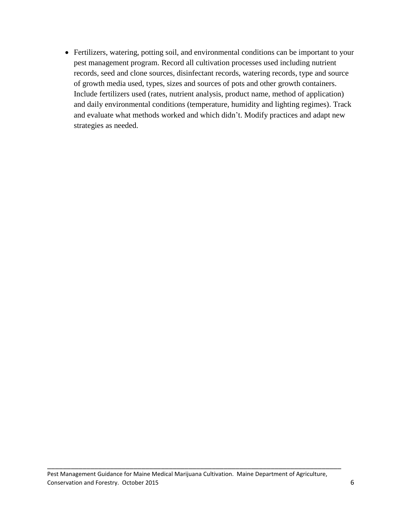Fertilizers, watering, potting soil, and environmental conditions can be important to your pest management program. Record all cultivation processes used including nutrient records, seed and clone sources, disinfectant records, watering records, type and source of growth media used, types, sizes and sources of pots and other growth containers. Include fertilizers used (rates, nutrient analysis, product name, method of application) and daily environmental conditions (temperature, humidity and lighting regimes). Track and evaluate what methods worked and which didn't. Modify practices and adapt new strategies as needed.